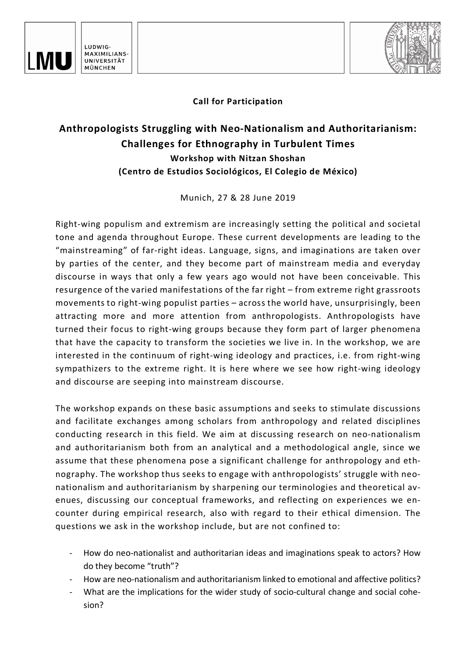



## **Call for Participation**

## **Anthropologists Struggling with Neo-Nationalism and Authoritarianism: Challenges for Ethnography in Turbulent Times Workshop with Nitzan Shoshan (Centro de Estudios Sociológicos, El Colegio de México)**

Munich, 27 & 28 June 2019

Right-wing populism and extremism are increasingly setting the political and societal tone and agenda throughout Europe. These current developments are leading to the "mainstreaming" of far-right ideas. Language, signs, and imaginations are taken over by parties of the center, and they become part of mainstream media and everyday discourse in ways that only a few years ago would not have been conceivable. This resurgence of the varied manifestations of the far right – from extreme right grassroots movements to right-wing populist parties – across the world have, unsurprisingly, been attracting more and more attention from anthropologists. Anthropologists have turned their focus to right-wing groups because they form part of larger phenomena that have the capacity to transform the societies we live in. In the workshop, we are interested in the continuum of right-wing ideology and practices, i.e. from right-wing sympathizers to the extreme right. It is here where we see how right-wing ideology and discourse are seeping into mainstream discourse.

The workshop expands on these basic assumptions and seeks to stimulate discussions and facilitate exchanges among scholars from anthropology and related disciplines conducting research in this field. We aim at discussing research on neo-nationalism and authoritarianism both from an analytical and a methodological angle, since we assume that these phenomena pose a significant challenge for anthropology and ethnography. The workshop thus seeks to engage with anthropologists' struggle with neonationalism and authoritarianism by sharpening our terminologies and theoretical avenues, discussing our conceptual frameworks, and reflecting on experiences we encounter during empirical research, also with regard to their ethical dimension. The questions we ask in the workshop include, but are not confined to:

- How do neo-nationalist and authoritarian ideas and imaginations speak to actors? How do they become "truth"?
- How are neo-nationalism and authoritarianism linked to emotional and affective politics?
- What are the implications for the wider study of socio-cultural change and social cohesion?